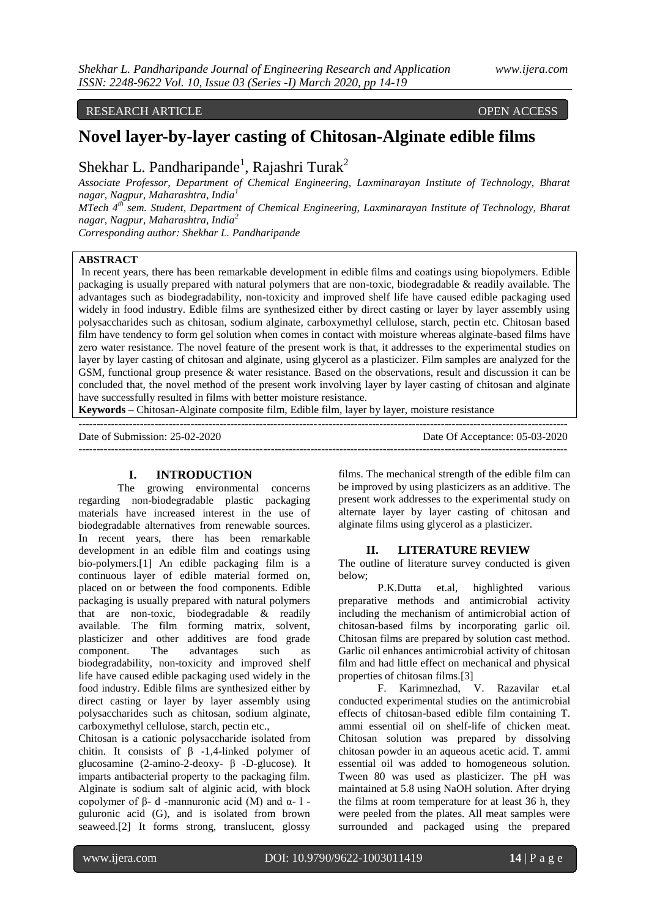# RESEARCH ARTICLE **OPEN ACCESS**

# **Novel layer-by-layer casting of Chitosan-Alginate edible films**

Shekhar L. Pandharipande<sup>1</sup>, Rajashri Turak<sup>2</sup>

*Associate Professor, Department of Chemical Engineering, Laxminarayan Institute of Technology, Bharat nagar, Nagpur, Maharashtra, India<sup>1</sup>*

*MTech 4th sem. Student, Department of Chemical Engineering, Laxminarayan Institute of Technology, Bharat nagar, Nagpur, Maharashtra, India<sup>2</sup>*

*Corresponding author: Shekhar L. Pandharipande*

# **ABSTRACT**

In recent years, there has been remarkable development in edible films and coatings using biopolymers. Edible packaging is usually prepared with natural polymers that are non-toxic, biodegradable & readily available. The advantages such as biodegradability, non-toxicity and improved shelf life have caused edible packaging used widely in food industry. Edible films are synthesized either by direct casting or layer by layer assembly using polysaccharides such as chitosan, sodium alginate, carboxymethyl cellulose, starch, pectin etc. Chitosan based film have tendency to form gel solution when comes in contact with moisture whereas alginate-based films have zero water resistance. The novel feature of the present work is that, it addresses to the experimental studies on layer by layer casting of chitosan and alginate, using glycerol as a plasticizer. Film samples are analyzed for the GSM, functional group presence & water resistance. Based on the observations, result and discussion it can be concluded that, the novel method of the present work involving layer by layer casting of chitosan and alginate have successfully resulted in films with better moisture resistance.

---------------------------------------------------------------------------------------------------------------------------------------

**Keywords –** Chitosan-Alginate composite film, Edible film, layer by layer, moisture resistance

Date of Submission: 25-02-2020 Date Of Acceptance: 05-03-2020

#### ---------------------------------------------------------------------------------------------------------------------------------------

# **I. INTRODUCTION**

The growing environmental concerns regarding non-biodegradable plastic packaging materials have increased interest in the use of biodegradable alternatives from renewable sources. In recent years, there has been remarkable development in an edible film and coatings using bio-polymers.[1] An edible packaging film is a continuous layer of edible material formed on, placed on or between the food components. Edible packaging is usually prepared with natural polymers that are non-toxic, biodegradable & readily available. The film forming matrix, solvent, plasticizer and other additives are food grade component. The advantages such as biodegradability, non-toxicity and improved shelf life have caused edible packaging used widely in the food industry. Edible films are synthesized either by direct casting or layer by layer assembly using polysaccharides such as chitosan, sodium alginate, carboxymethyl cellulose, starch, pectin etc.,

Chitosan is a cationic polysaccharide isolated from chitin. It consists of  $\beta$  -1,4-linked polymer of glucosamine (2-amino-2-deoxy- β -D-glucose). It imparts antibacterial property to the packaging film. Alginate is sodium salt of alginic acid, with block copolymer of β- d -mannuronic acid (M) and α- l guluronic acid (G), and is isolated from brown seaweed.[2] It forms strong, translucent, glossy

films. The mechanical strength of the edible film can be improved by using plasticizers as an additive. The present work addresses to the experimental study on alternate layer by layer casting of chitosan and alginate films using glycerol as a plasticizer.

#### **II. LITERATURE REVIEW**

The outline of literature survey conducted is given below;

P.K.Dutta et.al, highlighted various preparative methods and antimicrobial activity including the mechanism of antimicrobial action of chitosan-based films by incorporating garlic oil. Chitosan films are prepared by solution cast method. Garlic oil enhances antimicrobial activity of chitosan film and had little effect on mechanical and physical properties of chitosan films.[3]

F. Karimnezhad, V. Razavilar et.al conducted experimental studies on the antimicrobial effects of chitosan-based edible film containing T. ammi essential oil on shelf-life of chicken meat. Chitosan solution was prepared by dissolving chitosan powder in an aqueous acetic acid. T. ammi essential oil was added to homogeneous solution. Tween 80 was used as plasticizer. The pH was maintained at 5.8 using NaOH solution. After drying the films at room temperature for at least 36 h, they were peeled from the plates. All meat samples were surrounded and packaged using the prepared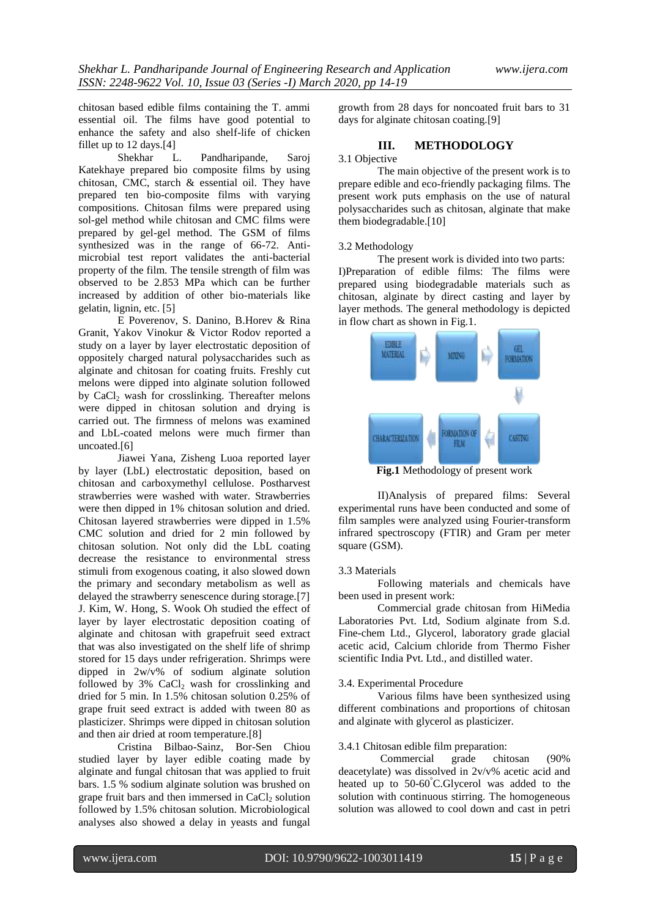chitosan based edible films containing the T. ammi essential oil. The films have good potential to enhance the safety and also shelf-life of chicken fillet up to 12 days.[4]<br>Shekhar L

L. Pandharipande, Saroj Katekhaye prepared bio composite films by using chitosan, CMC, starch & essential oil. They have prepared ten bio-composite films with varying compositions. Chitosan films were prepared using sol-gel method while chitosan and CMC films were prepared by gel-gel method. The GSM of films synthesized was in the range of 66-72. Antimicrobial test report validates the anti-bacterial property of the film. The tensile strength of film was observed to be 2.853 MPa which can be further increased by addition of other bio-materials like gelatin, lignin, etc. [5]

E Poverenov, S. Danino, B.Horev & Rina Granit, Yakov Vinokur & Victor Rodov reported a study on a layer by layer electrostatic deposition of oppositely charged natural polysaccharides such as alginate and chitosan for coating fruits. Freshly cut melons were dipped into alginate solution followed by CaCl<sub>2</sub> wash for crosslinking. Thereafter melons were dipped in chitosan solution and drying is carried out. The firmness of melons was examined and LbL-coated melons were much firmer than uncoated.[6]

Jiawei Yana, Zisheng Luoa reported layer by layer (LbL) electrostatic deposition, based on chitosan and carboxymethyl cellulose. Postharvest strawberries were washed with water. Strawberries were then dipped in 1% chitosan solution and dried. Chitosan layered strawberries were dipped in 1.5% CMC solution and dried for 2 min followed by chitosan solution. Not only did the LbL coating decrease the resistance to environmental stress stimuli from exogenous coating, it also slowed down the primary and secondary metabolism as well as delayed the strawberry senescence during storage.[7] J. Kim, W. Hong, S. Wook Oh studied the effect of layer by layer electrostatic deposition coating of alginate and chitosan with grapefruit seed extract that was also investigated on the shelf life of shrimp stored for 15 days under refrigeration. Shrimps were dipped in 2w/v% of sodium alginate solution followed by  $3\%$  CaCl<sub>2</sub> wash for crosslinking and dried for 5 min. In 1.5% chitosan solution 0.25% of grape fruit seed extract is added with tween 80 as plasticizer. Shrimps were dipped in chitosan solution and then air dried at room temperature.[8]

Cristina Bilbao-Sainz, Bor-Sen Chiou studied layer by layer edible coating made by alginate and fungal chitosan that was applied to fruit bars. 1.5 % sodium alginate solution was brushed on grape fruit bars and then immersed in  $CaCl<sub>2</sub>$  solution followed by 1.5% chitosan solution. Microbiological analyses also showed a delay in yeasts and fungal

growth from 28 days for noncoated fruit bars to 31 days for alginate chitosan coating.[9]

# **III. METHODOLOGY**

#### 3.1 Objective

The main objective of the present work is to prepare edible and eco-friendly packaging films. The present work puts emphasis on the use of natural polysaccharides such as chitosan, alginate that make them biodegradable.[10]

#### 3.2 Methodology

The present work is divided into two parts: I)Preparation of edible films: The films were prepared using biodegradable materials such as chitosan, alginate by direct casting and layer by layer methods. The general methodology is depicted in flow chart as shown in Fig.1.



**Fig.1** Methodology of present work

II)Analysis of prepared films: Several experimental runs have been conducted and some of film samples were analyzed using Fourier-transform infrared spectroscopy (FTIR) and Gram per meter square (GSM).

#### 3.3 Materials

Following materials and chemicals have been used in present work:

Commercial grade chitosan from HiMedia Laboratories Pvt. Ltd, Sodium alginate from S.d. Fine-chem Ltd., Glycerol, laboratory grade glacial acetic acid, Calcium chloride from Thermo Fisher scientific India Pvt. Ltd., and distilled water.

#### 3.4. Experimental Procedure

Various films have been synthesized using different combinations and proportions of chitosan and alginate with glycerol as plasticizer.

## 3.4.1 Chitosan edible film preparation:

Commercial grade chitosan (90% deacetylate) was dissolved in 2v/v% acetic acid and heated up to 50-60°C.Glycerol was added to the solution with continuous stirring. The homogeneous solution was allowed to cool down and cast in petri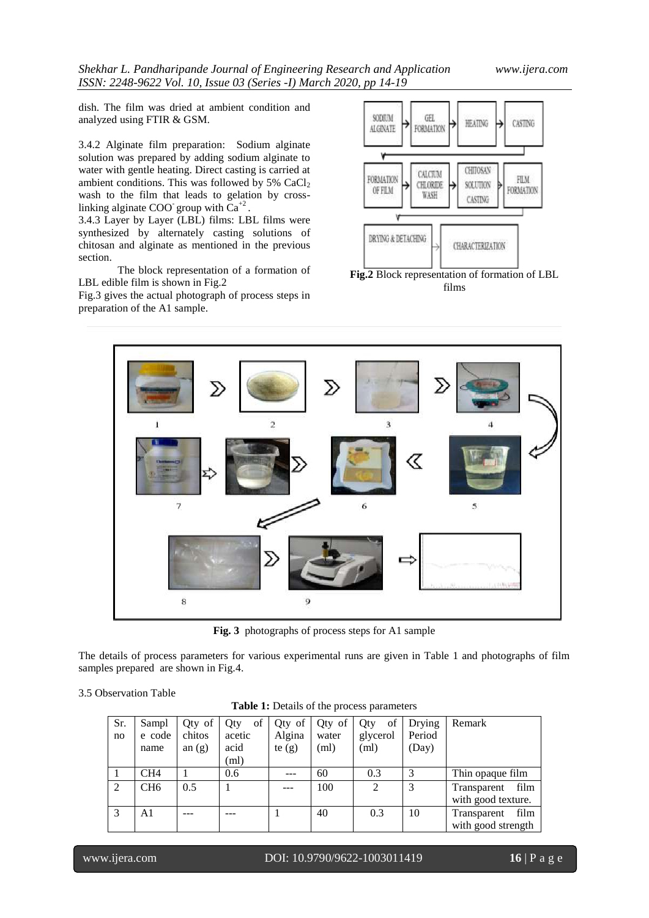dish. The film was dried at ambient condition and analyzed using FTIR & GSM.

3.4.2 Alginate film preparation: Sodium alginate solution was prepared by adding sodium alginate to water with gentle heating. Direct casting is carried at ambient conditions. This was followed by  $5\%$  CaCl<sub>2</sub> wash to the film that leads to gelation by crosslinking alginate COO group with  $Ca^{+2}$ .

3.4.3 Layer by Layer (LBL) films: LBL films were synthesized by alternately casting solutions of chitosan and alginate as mentioned in the previous section.

The block representation of a formation of LBL edible film is shown in Fig.2

Fig.3 gives the actual photograph of process steps in preparation of the A1 sample.



 $\overline{\mathbf{3}}$ ï  $\overline{2}$ ≪  $\overline{7}$  $\overline{\mathbf{5}}$ 6  $\ddot{\mathbf{8}}$ 

**Fig. 3** photographs of process steps for A1 sample

The details of process parameters for various experimental runs are given in Table 1 and photographs of film samples prepared are shown in Fig.4.

3.5 Observation Table

| Table 1: Details of the process parameters |  |
|--------------------------------------------|--|
|--------------------------------------------|--|

| Sr.            | Sampl           | Qty of   | of<br><b>Oty</b> | Qty of   | Qty of | Qty<br>οf      | Drying | Remark              |  |  |
|----------------|-----------------|----------|------------------|----------|--------|----------------|--------|---------------------|--|--|
| no             | e code          | chitos   | acetic           | Algina   | water  | glycerol       | Period |                     |  |  |
|                | name            | an $(g)$ | acid             | te $(g)$ | (ml)   | (ml)           | (Day)  |                     |  |  |
|                |                 |          | (ml)             |          |        |                |        |                     |  |  |
|                | CH4             |          | 0.6              |          | 60     | 0.3            | 3      | Thin opaque film    |  |  |
| $\overline{c}$ | CH <sub>6</sub> | 0.5      |                  |          | 100    | $\overline{2}$ | 3      | film<br>Transparent |  |  |
|                |                 |          |                  |          |        |                |        | with good texture.  |  |  |
| 3              | A <sub>1</sub>  |          |                  |          | 40     | 0.3            | 10     | film<br>Transparent |  |  |
|                |                 |          |                  |          |        |                |        | with good strength  |  |  |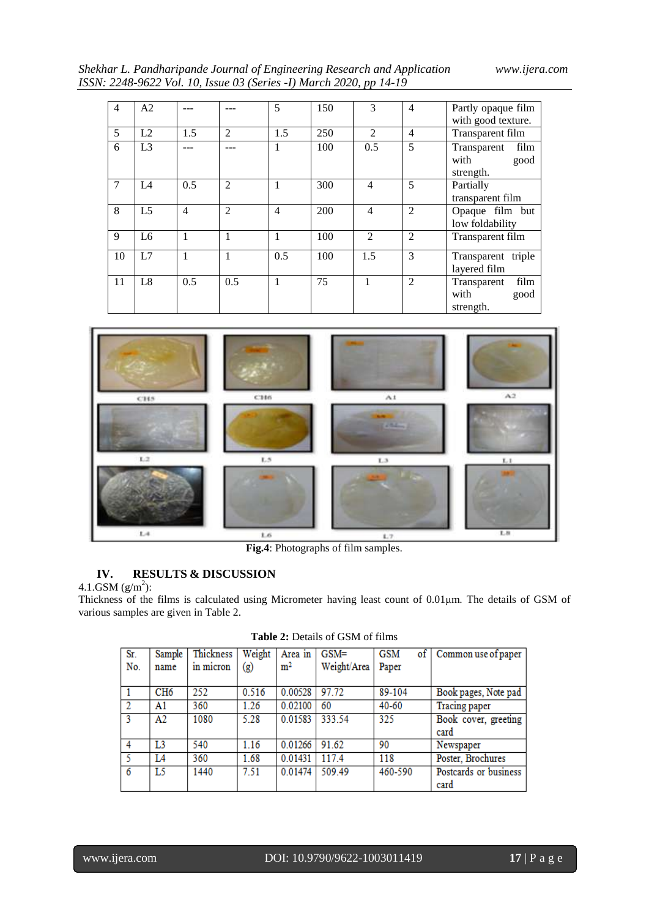*Shekhar L. Pandharipande Journal of Engineering Research and Application www.ijera.com ISSN: 2248-9622 Vol. 10, Issue 03 (Series -I) March 2020, pp 14-19*

| 4              | A <sub>2</sub> |                |                | 5   | 150 | 3              | $\overline{4}$ | Partly opaque film<br>with good texture.         |  |  |
|----------------|----------------|----------------|----------------|-----|-----|----------------|----------------|--------------------------------------------------|--|--|
| 5              | L2             | 1.5            | $\mathfrak{D}$ | 1.5 | 250 | $\mathfrak{D}$ | $\overline{4}$ | Transparent film                                 |  |  |
| 6              | L <sub>3</sub> |                |                | 1   | 100 | 0.5            | 5              | Transparent<br>film<br>with<br>good<br>strength. |  |  |
| $\overline{7}$ | IA             | 0.5            | $\mathfrak{D}$ |     | 300 | $\overline{4}$ | 5              | Partially<br>transparent film                    |  |  |
| 8              | L <sub>5</sub> | $\overline{4}$ | 2              | 4   | 200 | $\overline{4}$ | $\overline{2}$ | Opaque film but<br>low foldability               |  |  |
| 9              | L <sub>6</sub> | 1              | 1              | 1   | 100 | $\mathfrak{D}$ | $\overline{2}$ | Transparent film                                 |  |  |
| 10             | L7             | 1              | 1              | 0.5 | 100 | 1.5            | 3              | Transparent triple<br>layered film               |  |  |
| 11             | L8             | 0.5            | 0.5            | 1   | 75  | 1              | 2              | film<br>Transparent<br>with<br>good<br>strength. |  |  |



**Fig.4**: Photographs of film samples.

# **IV. RESULTS & DISCUSSION**

4.1.GSM  $(g/m^2)$ :

Thickness of the films is calculated using Micrometer having least count of 0.01μm. The details of GSM of various samples are given in Table 2.

| Sr.<br>No.     | Sample<br>name  | Thickness<br>in micron | Weight<br>(g) | Area in<br>m <sup>2</sup> | $GSM =$<br>Weight/Area | <b>GSM</b><br>Paper | of Common use of paper        |
|----------------|-----------------|------------------------|---------------|---------------------------|------------------------|---------------------|-------------------------------|
|                | CH <sub>6</sub> | 252                    | 0.516         | 0.00528                   | 97.72                  | 89-104              | Book pages, Note pad          |
| $\overline{2}$ | A1              | 360                    | 1.26          | 0.02100                   | 60                     | $40 - 60$           | <b>Tracing paper</b>          |
| 3              | A2              | 1080                   | 5.28          | 0.01583                   | 333.54                 | 325                 | Book cover, greeting<br>card  |
| 4              | L3              | 540                    | 1.16          | 0.01266                   | 91.62                  | 90                  | Newspaper                     |
| 5              | L4              | 360                    | 1.68          | 0.01431                   | 117.4                  | 118                 | Poster, Brochures             |
| 6              | L5              | 1440                   | 7.51          | 0.01474                   | 509.49                 | 460-590             | Postcards or business<br>card |

**Table 2:** Details of GSM of films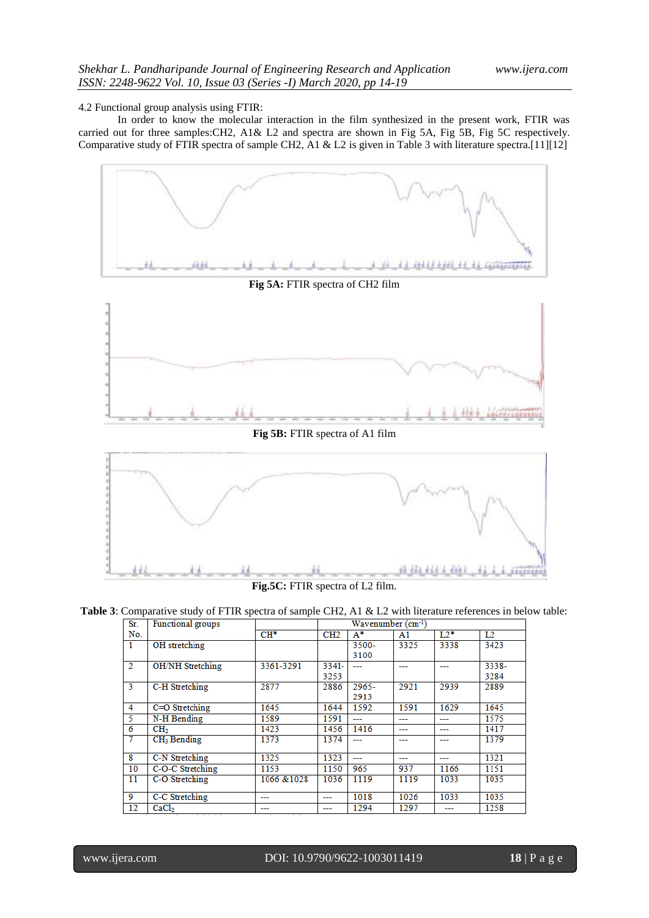4.2 Functional group analysis using FTIR:

In order to know the molecular interaction in the film synthesized in the present work, FTIR was carried out for three samples:CH2, A1& L2 and spectra are shown in Fig 5A, Fig 5B, Fig 5C respectively. Comparative study of FTIR spectra of sample CH2, A1 & L2 is given in Table 3 with literature spectra.[11][12]



**Fig.5C:** FTIR spectra of L2 film.

**Table 3**: Comparative study of FTIR spectra of sample CH2, A1 & L2 with literature references in below table:

| Sr.            | Functional groups       |             | Wavenumber (cm-1) |          |      |        |       |  |
|----------------|-------------------------|-------------|-------------------|----------|------|--------|-------|--|
| No.            |                         | $CH^*$      | CH2               | $A^*$    | A1   | $L2^*$ | L2    |  |
|                | OH stretching           |             |                   | 3500-    | 3325 | 3338   | 3423  |  |
|                |                         |             |                   | 3100     |      |        |       |  |
| $\overline{2}$ | <b>OH/NH Stretching</b> | 3361-3291   | 3341-             |          |      |        | 3338- |  |
|                |                         |             | 3253              |          |      |        | 3284  |  |
| 3              | C-H Stretching          | 2877        | 2886              | $2965 -$ | 2921 | 2939   | 2889  |  |
|                |                         |             |                   | 2913     |      |        |       |  |
| 4              | C=O Stretching          | 1645        | 1644              | 1592     | 1591 | 1629   | 1645  |  |
| 5              | N-H Bending             | 1589        | 1591              | ---      | ---  | ---    | 1575  |  |
| 6              | CH <sub>2</sub>         | 1423        | 1456              | 1416     | ---  |        | 1417  |  |
| 7              | CH <sub>3</sub> Bending | 1373        | 1374              |          |      |        | 1379  |  |
|                |                         |             |                   |          |      |        |       |  |
| 8              | C-N Stretching          | 1325        | 1323              | ---      | ---  | ---    | 1321  |  |
| 10             | C-O-C Stretching        | 1153        | 1150              | 965      | 937  | 1166   | 1151  |  |
| 11             | C-O Stretching          | 1066 & 1028 | 1036              | 1119     | 1119 | 1033   | 1035  |  |
|                |                         |             |                   |          |      |        |       |  |
| 9              | C-C Stretching          | ---         | ---               | 1018     | 1026 | 1033   | 1035  |  |
| 12             | CaCl <sub>2</sub><br>.  |             | ---               | 1294     | 1297 |        | 1258  |  |